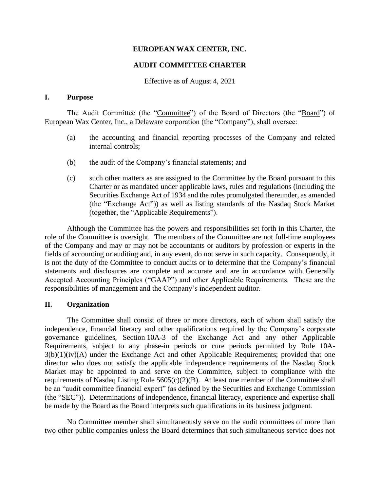#### **EUROPEAN WAX CENTER, INC.**

## **AUDIT COMMITTEE CHARTER**

Effective as of August 4, 2021

### **I. Purpose**

The Audit Committee (the "Committee") of the Board of Directors (the "Board") of European Wax Center, Inc., a Delaware corporation (the "Company"), shall oversee:

- (a) the accounting and financial reporting processes of the Company and related internal controls;
- (b) the audit of the Company's financial statements; and
- (c) such other matters as are assigned to the Committee by the Board pursuant to this Charter or as mandated under applicable laws, rules and regulations (including the Securities Exchange Act of 1934 and the rules promulgated thereunder, as amended (the "Exchange Act")) as well as listing standards of the Nasdaq Stock Market (together, the "Applicable Requirements").

Although the Committee has the powers and responsibilities set forth in this Charter, the role of the Committee is oversight. The members of the Committee are not full-time employees of the Company and may or may not be accountants or auditors by profession or experts in the fields of accounting or auditing and, in any event, do not serve in such capacity. Consequently, it is not the duty of the Committee to conduct audits or to determine that the Company's financial statements and disclosures are complete and accurate and are in accordance with Generally Accepted Accounting Principles ("GAAP") and other Applicable Requirements. These are the responsibilities of management and the Company's independent auditor.

#### **II. Organization**

The Committee shall consist of three or more directors, each of whom shall satisfy the independence, financial literacy and other qualifications required by the Company's corporate governance guidelines, Section 10A-3 of the Exchange Act and any other Applicable Requirements, subject to any phase-in periods or cure periods permitted by Rule 10A-3(b)(1)(iv)(A) under the Exchange Act and other Applicable Requirements; provided that one director who does not satisfy the applicable independence requirements of the Nasdaq Stock Market may be appointed to and serve on the Committee, subject to compliance with the requirements of Nasdaq Listing Rule  $5605(c)(2)(B)$ . At least one member of the Committee shall be an "audit committee financial expert" (as defined by the Securities and Exchange Commission (the "SEC")). Determinations of independence, financial literacy, experience and expertise shall be made by the Board as the Board interprets such qualifications in its business judgment.

No Committee member shall simultaneously serve on the audit committees of more than two other public companies unless the Board determines that such simultaneous service does not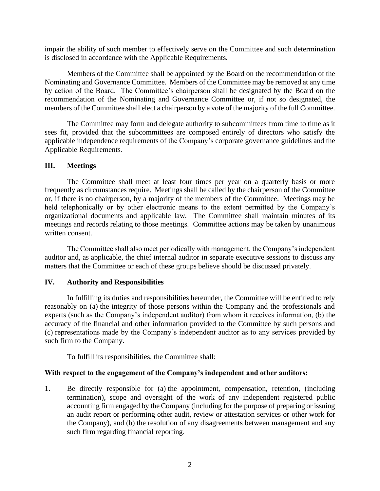impair the ability of such member to effectively serve on the Committee and such determination is disclosed in accordance with the Applicable Requirements.

Members of the Committee shall be appointed by the Board on the recommendation of the Nominating and Governance Committee. Members of the Committee may be removed at any time by action of the Board. The Committee's chairperson shall be designated by the Board on the recommendation of the Nominating and Governance Committee or, if not so designated, the members of the Committee shall elect a chairperson by a vote of the majority of the full Committee.

The Committee may form and delegate authority to subcommittees from time to time as it sees fit, provided that the subcommittees are composed entirely of directors who satisfy the applicable independence requirements of the Company's corporate governance guidelines and the Applicable Requirements.

### **III. Meetings**

The Committee shall meet at least four times per year on a quarterly basis or more frequently as circumstances require. Meetings shall be called by the chairperson of the Committee or, if there is no chairperson, by a majority of the members of the Committee. Meetings may be held telephonically or by other electronic means to the extent permitted by the Company's organizational documents and applicable law. The Committee shall maintain minutes of its meetings and records relating to those meetings. Committee actions may be taken by unanimous written consent.

The Committee shall also meet periodically with management, the Company's independent auditor and, as applicable, the chief internal auditor in separate executive sessions to discuss any matters that the Committee or each of these groups believe should be discussed privately.

### **IV. Authority and Responsibilities**

In fulfilling its duties and responsibilities hereunder, the Committee will be entitled to rely reasonably on (a) the integrity of those persons within the Company and the professionals and experts (such as the Company's independent auditor) from whom it receives information, (b) the accuracy of the financial and other information provided to the Committee by such persons and (c) representations made by the Company's independent auditor as to any services provided by such firm to the Company.

To fulfill its responsibilities, the Committee shall:

# **With respect to the engagement of the Company's independent and other auditors:**

1. Be directly responsible for (a) the appointment, compensation, retention, (including termination), scope and oversight of the work of any independent registered public accounting firm engaged by the Company (including for the purpose of preparing or issuing an audit report or performing other audit, review or attestation services or other work for the Company), and (b) the resolution of any disagreements between management and any such firm regarding financial reporting.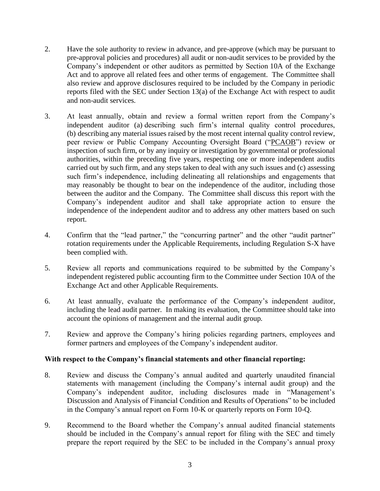- 2. Have the sole authority to review in advance, and pre-approve (which may be pursuant to pre-approval policies and procedures) all audit or non-audit services to be provided by the Company's independent or other auditors as permitted by Section 10A of the Exchange Act and to approve all related fees and other terms of engagement. The Committee shall also review and approve disclosures required to be included by the Company in periodic reports filed with the SEC under Section 13(a) of the Exchange Act with respect to audit and non-audit services.
- 3. At least annually, obtain and review a formal written report from the Company's independent auditor (a) describing such firm's internal quality control procedures, (b) describing any material issues raised by the most recent internal quality control review, peer review or Public Company Accounting Oversight Board ("PCAOB") review or inspection of such firm, or by any inquiry or investigation by governmental or professional authorities, within the preceding five years, respecting one or more independent audits carried out by such firm, and any steps taken to deal with any such issues and (c) assessing such firm's independence, including delineating all relationships and engagements that may reasonably be thought to bear on the independence of the auditor, including those between the auditor and the Company. The Committee shall discuss this report with the Company's independent auditor and shall take appropriate action to ensure the independence of the independent auditor and to address any other matters based on such report.
- 4. Confirm that the "lead partner," the "concurring partner" and the other "audit partner" rotation requirements under the Applicable Requirements, including Regulation S-X have been complied with.
- 5. Review all reports and communications required to be submitted by the Company's independent registered public accounting firm to the Committee under Section 10A of the Exchange Act and other Applicable Requirements.
- 6. At least annually, evaluate the performance of the Company's independent auditor, including the lead audit partner. In making its evaluation, the Committee should take into account the opinions of management and the internal audit group.
- 7. Review and approve the Company's hiring policies regarding partners, employees and former partners and employees of the Company's independent auditor.

# **With respect to the Company's financial statements and other financial reporting:**

- 8. Review and discuss the Company's annual audited and quarterly unaudited financial statements with management (including the Company's internal audit group) and the Company's independent auditor, including disclosures made in "Management's Discussion and Analysis of Financial Condition and Results of Operations" to be included in the Company's annual report on Form 10-K or quarterly reports on Form 10-Q.
- 9. Recommend to the Board whether the Company's annual audited financial statements should be included in the Company's annual report for filing with the SEC and timely prepare the report required by the SEC to be included in the Company's annual proxy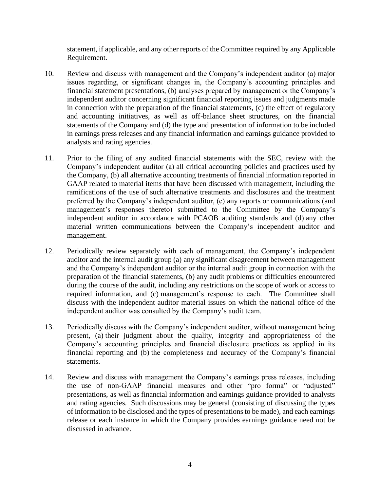statement, if applicable, and any other reports of the Committee required by any Applicable Requirement.

- 10. Review and discuss with management and the Company's independent auditor (a) major issues regarding, or significant changes in, the Company's accounting principles and financial statement presentations, (b) analyses prepared by management or the Company's independent auditor concerning significant financial reporting issues and judgments made in connection with the preparation of the financial statements, (c) the effect of regulatory and accounting initiatives, as well as off-balance sheet structures, on the financial statements of the Company and (d) the type and presentation of information to be included in earnings press releases and any financial information and earnings guidance provided to analysts and rating agencies.
- 11. Prior to the filing of any audited financial statements with the SEC, review with the Company's independent auditor (a) all critical accounting policies and practices used by the Company, (b) all alternative accounting treatments of financial information reported in GAAP related to material items that have been discussed with management, including the ramifications of the use of such alternative treatments and disclosures and the treatment preferred by the Company's independent auditor, (c) any reports or communications (and management's responses thereto) submitted to the Committee by the Company's independent auditor in accordance with PCAOB auditing standards and (d) any other material written communications between the Company's independent auditor and management.
- 12. Periodically review separately with each of management, the Company's independent auditor and the internal audit group (a) any significant disagreement between management and the Company's independent auditor or the internal audit group in connection with the preparation of the financial statements, (b) any audit problems or difficulties encountered during the course of the audit, including any restrictions on the scope of work or access to required information, and (c) management's response to each. The Committee shall discuss with the independent auditor material issues on which the national office of the independent auditor was consulted by the Company's audit team.
- 13. Periodically discuss with the Company's independent auditor, without management being present, (a) their judgment about the quality, integrity and appropriateness of the Company's accounting principles and financial disclosure practices as applied in its financial reporting and (b) the completeness and accuracy of the Company's financial statements.
- 14. Review and discuss with management the Company's earnings press releases, including the use of non-GAAP financial measures and other "pro forma" or "adjusted" presentations, as well as financial information and earnings guidance provided to analysts and rating agencies. Such discussions may be general (consisting of discussing the types of information to be disclosed and the types of presentations to be made), and each earnings release or each instance in which the Company provides earnings guidance need not be discussed in advance.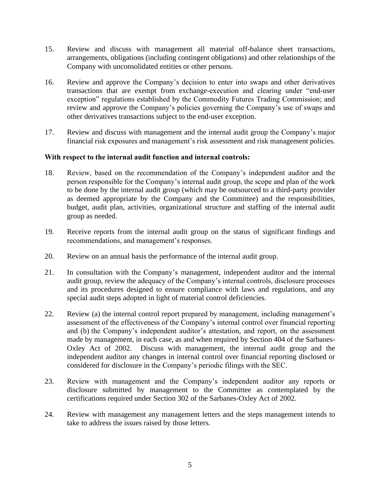- 15. Review and discuss with management all material off-balance sheet transactions, arrangements, obligations (including contingent obligations) and other relationships of the Company with unconsolidated entities or other persons.
- 16. Review and approve the Company's decision to enter into swaps and other derivatives transactions that are exempt from exchange-execution and clearing under "end-user exception" regulations established by the Commodity Futures Trading Commission; and review and approve the Company's policies governing the Company's use of swaps and other derivatives transactions subject to the end-user exception.
- 17. Review and discuss with management and the internal audit group the Company's major financial risk exposures and management's risk assessment and risk management policies.

### **With respect to the internal audit function and internal controls:**

- 18. Review, based on the recommendation of the Company's independent auditor and the person responsible for the Company's internal audit group, the scope and plan of the work to be done by the internal audit group (which may be outsourced to a third-party provider as deemed appropriate by the Company and the Committee) and the responsibilities, budget, audit plan, activities, organizational structure and staffing of the internal audit group as needed.
- 19. Receive reports from the internal audit group on the status of significant findings and recommendations, and management's responses.
- 20. Review on an annual basis the performance of the internal audit group.
- 21. In consultation with the Company's management, independent auditor and the internal audit group, review the adequacy of the Company's internal controls, disclosure processes and its procedures designed to ensure compliance with laws and regulations, and any special audit steps adopted in light of material control deficiencies.
- 22. Review (a) the internal control report prepared by management, including management's assessment of the effectiveness of the Company's internal control over financial reporting and (b) the Company's independent auditor's attestation, and report, on the assessment made by management, in each case, as and when required by Section 404 of the Sarbanes-Oxley Act of 2002. Discuss with management, the internal audit group and the independent auditor any changes in internal control over financial reporting disclosed or considered for disclosure in the Company's periodic filings with the SEC.
- 23. Review with management and the Company's independent auditor any reports or disclosure submitted by management to the Committee as contemplated by the certifications required under Section 302 of the Sarbanes-Oxley Act of 2002.
- 24. Review with management any management letters and the steps management intends to take to address the issues raised by those letters.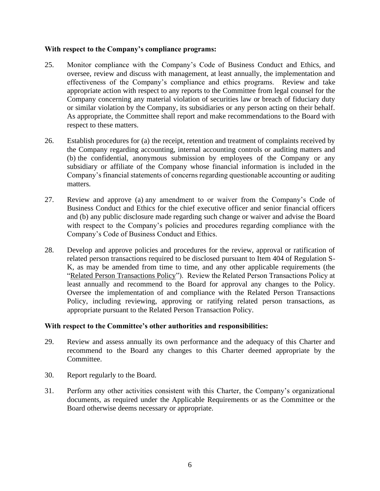### **With respect to the Company's compliance programs:**

- 25. Monitor compliance with the Company's Code of Business Conduct and Ethics, and oversee, review and discuss with management, at least annually, the implementation and effectiveness of the Company's compliance and ethics programs. Review and take appropriate action with respect to any reports to the Committee from legal counsel for the Company concerning any material violation of securities law or breach of fiduciary duty or similar violation by the Company, its subsidiaries or any person acting on their behalf. As appropriate, the Committee shall report and make recommendations to the Board with respect to these matters.
- 26. Establish procedures for (a) the receipt, retention and treatment of complaints received by the Company regarding accounting, internal accounting controls or auditing matters and (b) the confidential, anonymous submission by employees of the Company or any subsidiary or affiliate of the Company whose financial information is included in the Company's financial statements of concerns regarding questionable accounting or auditing matters.
- 27. Review and approve (a) any amendment to or waiver from the Company's Code of Business Conduct and Ethics for the chief executive officer and senior financial officers and (b) any public disclosure made regarding such change or waiver and advise the Board with respect to the Company's policies and procedures regarding compliance with the Company's Code of Business Conduct and Ethics.
- 28. Develop and approve policies and procedures for the review, approval or ratification of related person transactions required to be disclosed pursuant to Item 404 of Regulation S-K, as may be amended from time to time, and any other applicable requirements (the "Related Person Transactions Policy"). Review the Related Person Transactions Policy at least annually and recommend to the Board for approval any changes to the Policy. Oversee the implementation of and compliance with the Related Person Transactions Policy, including reviewing, approving or ratifying related person transactions, as appropriate pursuant to the Related Person Transaction Policy.

### **With respect to the Committee's other authorities and responsibilities:**

- 29. Review and assess annually its own performance and the adequacy of this Charter and recommend to the Board any changes to this Charter deemed appropriate by the Committee.
- 30. Report regularly to the Board.
- 31. Perform any other activities consistent with this Charter, the Company's organizational documents, as required under the Applicable Requirements or as the Committee or the Board otherwise deems necessary or appropriate.